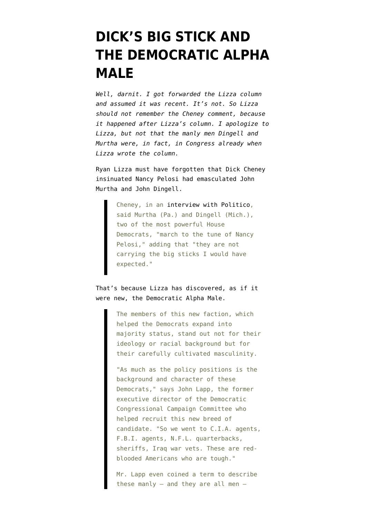## **[DICK'S BIG STICK AND](https://www.emptywheel.net/2008/02/04/dicks-big-stick-and-the-democratic-alpha-male/) [THE DEMOCRATIC ALPHA](https://www.emptywheel.net/2008/02/04/dicks-big-stick-and-the-democratic-alpha-male/) [MALE](https://www.emptywheel.net/2008/02/04/dicks-big-stick-and-the-democratic-alpha-male/)**

*Well, darnit. I got forwarded the Lizza column and assumed it was recent. It's not. So Lizza should not remember the Cheney comment, because it happened after Lizza's column. I apologize to Lizza, but not that the manly men Dingell and Murtha were, in fact, in Congress already when Lizza wrote the column.*

Ryan Lizza must have forgotten that Dick Cheney [insinuated](http://www.politico.com/blogs/thecrypt/1207/Reid_kicks_back_at_Cheneys_comments_in_Politico.html) Nancy Pelosi had emasculated John Murtha and John Dingell.

> Cheney, in an [interview with Politico,](http://www.politico.com/news/stories/1207/7234.html) said Murtha (Pa.) and Dingell (Mich.), two of the most powerful House Democrats, "march to the tune of Nancy Pelosi," adding that "they are not carrying the big sticks I would have expected."

That's because Lizza has [discovered, as if it](http://www.nytimes.com/2007/01/07/weekinreview/07lizza.html?_r=1&oref=slogin&ref=politics&pagewanted=print) [were new,](http://www.nytimes.com/2007/01/07/weekinreview/07lizza.html?_r=1&oref=slogin&ref=politics&pagewanted=print) the Democratic Alpha Male.

> The members of this new faction, which helped the Democrats expand into majority status, stand out not for their ideology or racial background but for their carefully cultivated masculinity.

> "As much as the policy positions is the background and character of these Democrats," says John Lapp, the former executive director of the Democratic Congressional Campaign Committee who helped recruit this new breed of candidate. "So we went to C.I.A. agents, F.B.I. agents, N.F.L. quarterbacks, sheriffs, Iraq war vets. These are redblooded Americans who are tough."

Mr. Lapp even coined a term to describe these manly  $-$  and they are all men  $-$